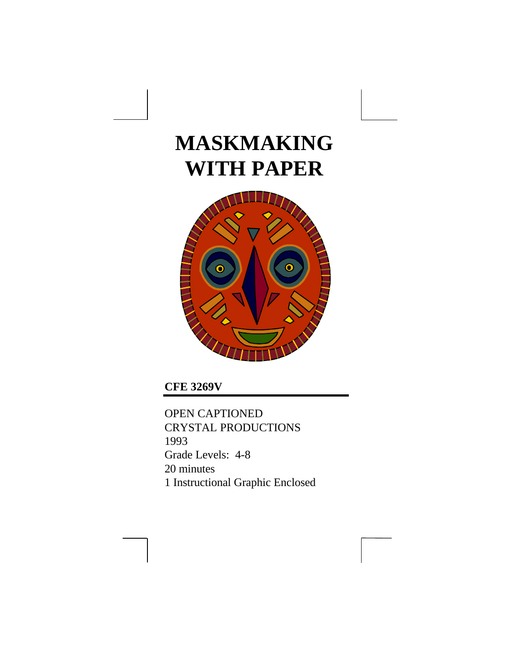# **MASKMAKING WITH PAPER**



**CFE 3269V**

OPEN CAPTIONED CRYSTAL PRODUCTIONS 1993 Grade Levels: 4-8 20 minutes 1 Instructional Graphic Enclosed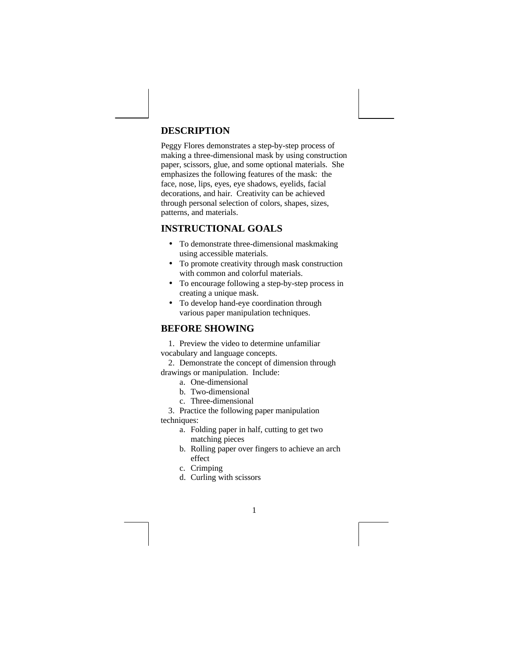### **DESCRIPTION**

Peggy Flores demonstrates a step-by-step process of making a three-dimensional mask by using construction paper, scissors, glue, and some optional materials. She emphasizes the following features of the mask: the face, nose, lips, eyes, eye shadows, eyelids, facial decorations, and hair. Creativity can be achieved through personal selection of colors, shapes, sizes, patterns, and materials.

# **INSTRUCTIONAL GOALS**

- To demonstrate three-dimensional maskmaking using accessible materials.
- To promote creativity through mask construction with common and colorful materials.
- To encourage following a step-by-step process in creating a unique mask.
- To develop hand-eye coordination through various paper manipulation techniques.

# **BEFORE SHOWING**

1. Preview the video to determine unfamiliar

vocabulary and language concepts. 2. Demonstrate the concept of dimension through

drawings or manipulation. Include:

- a. One-dimensional
- b. Two-dimensional
- c. Three-dimensional

3. Practice the following paper manipulation techniques:

- a. Folding paper in half, cutting to get two matching pieces
- b. Rolling paper over fingers to achieve an arch effect

- c. Crimping
- d. Curling with scissors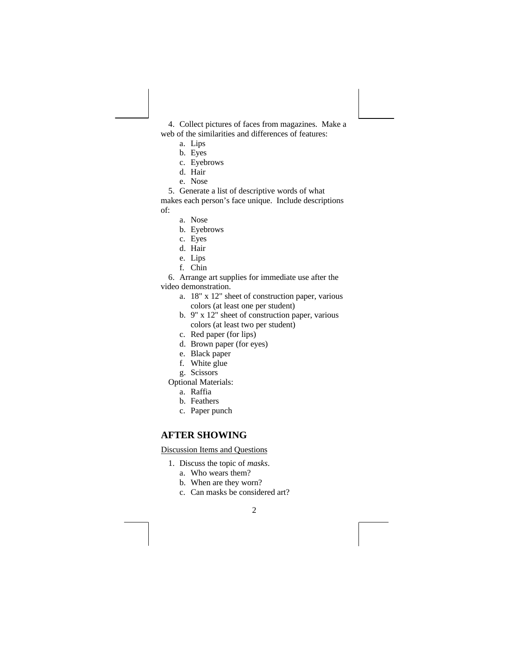4. Collect pictures of faces from magazines. Make a web of the similarities and differences of features:

- a. Lips
- b. Eyes
- c. Eyebrows
- d. Hair
- e. Nose

5. Generate a list of descriptive words of what

makes each person's face unique. Include descriptions of:

- a. Nose
- b. Eyebrows
- c. Eyes
- d. Hair
- e. Lips
- f. Chin
- 6. Arrange art supplies for immediate use after the

video demonstration.

- a. 18" x 12" sheet of construction paper, various colors (at least one per student)
- b. 9" x 12" sheet of construction paper, various colors (at least two per student)
- c. Red paper (for lips)
- d. Brown paper (for eyes)
- e. Black paper
- f. White glue
- g. Scissors
- Optional Materials:
	- a. Raffia
	- b. Feathers
	- c. Paper punch

# **AFTER SHOWING**

Discussion Items and Questions

- 1. Discuss the topic of *masks*.
	- a. Who wears them?
	- b. When are they worn?
	- c. Can masks be considered art?

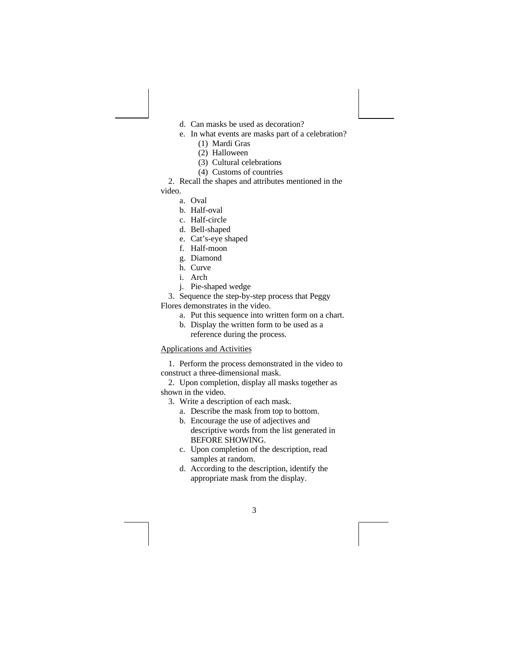- d. Can masks be used as decoration?
- e. In what events are masks part of a celebration?
	- (1) Mardi Gras
	- (2) Halloween
	- (3) Cultural celebrations
	- (4) Customs of countries

2. Recall the shapes and attributes mentioned in the

## video.

- a. Oval
- b. Half-oval
- c. Half-circle
- d. Bell-shaped
- e. Cat's-eye shaped
- f. Half-moon
- g. Diamond
- h. Curve
- i. Arch
- j. Pie-shaped wedge

3. Sequence the step-by-step process that Peggy Flores demonstrates in the video.

- a. Put this sequence into written form on a chart.
- b. Display the written form to be used as a reference during the process.

#### Applications and Activities

1. Perform the process demonstrated in the video to construct a three-dimensional mask.

2. Upon completion, display all masks together as shown in the video.

- 3. Write a description of each mask.
	- a. Describe the mask from top to bottom.
	- b. Encourage the use of adjectives and descriptive words from the list generated in BEFORE SHOWING.
	- c. Upon completion of the description, read samples at random.
	- d. According to the description, identify the appropriate mask from the display.

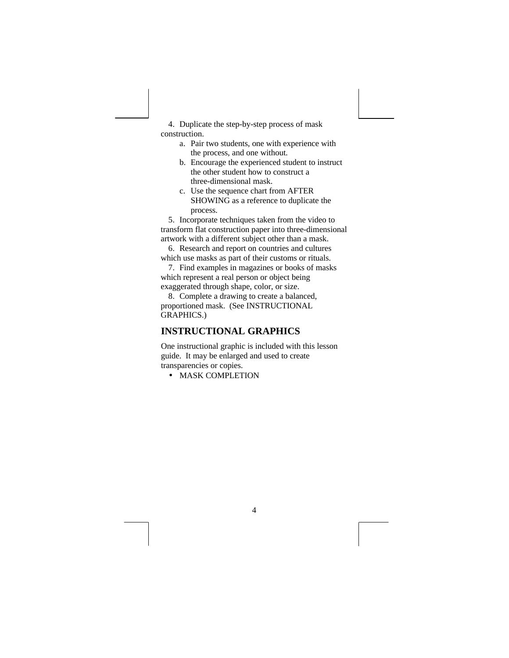4. Duplicate the step-by-step process of mask construction.

- a. Pair two students, one with experience with the process, and one without.
- b. Encourage the experienced student to instruct the other student how to construct a three-dimensional mask.
- c. Use the sequence chart from AFTER SHOWING as a reference to duplicate the process.

5. Incorporate techniques taken from the video to transform flat construction paper into three-dimensional artwork with a different subject other than a mask.

6. Research and report on countries and cultures which use masks as part of their customs or rituals.

7. Find examples in magazines or books of masks which represent a real person or object being exaggerated through shape, color, or size.

8. Complete a drawing to create a balanced, proportioned mask. (See INSTRUCTIONAL GRAPHICS.)

### **INSTRUCTIONAL GRAPHICS**

One instructional graphic is included with this lesson guide. It may be enlarged and used to create transparencies or copies.

• MASK COMPLETION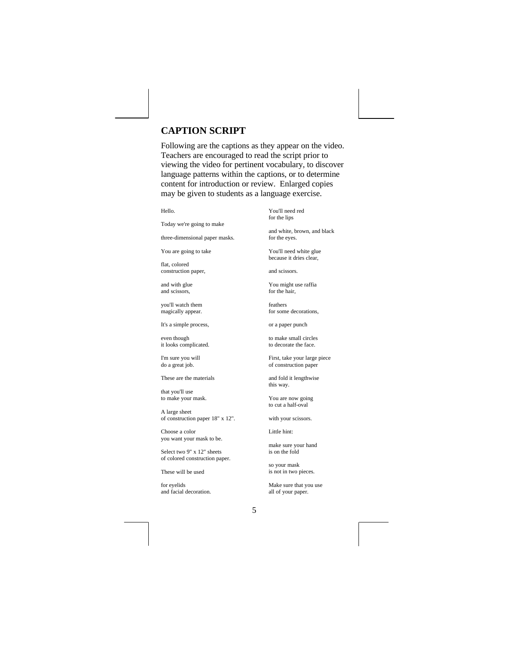# **CAPTION SCRIPT**

Following are the captions as they appear on the video. Teachers are encouraged to read the script prior to viewing the video for pertinent vocabulary, to discover language patterns within the captions, or to determine content for introduction or review. Enlarged copies may be given to students as a language exercise.

Hello.

Today we're going to make

three-dimensional paper masks.

You are going to take

flat, colored construction paper,

and with glue and scissors,

you'll watch them magically appear.

It's a simple process,

even though it looks complicated.

I'm sure you will do a great job.

These are the materials

that you'll use to make your mask.

A large sheet of construction paper 18" x 12".

Choose a color you want your mask to be.

Select two 9" x 12" sheets of colored construction paper.

These will be used

for eyelids and facial decoration.

You'll need red for the lips

and white, brown, and black for the eyes.

You'll need white glue because it dries clear,

and scissors.

You might use raffia for the hair,

feathers for some decorations,

or a paper punch

to make small circles to decorate the face.

First, take your large piece of construction paper

and fold it lengthwise this way.

You are now going to cut a half-oval

with your scissors.

Little hint:

make sure your hand is on the fold

so your mask is not in two pieces.

Make sure that you use all of your paper.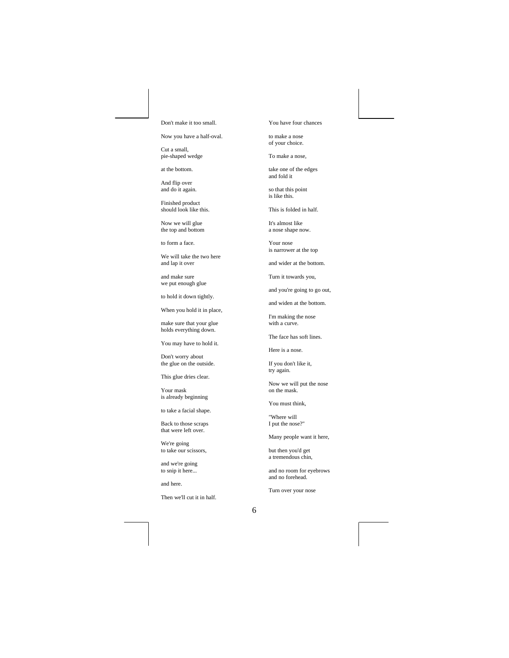#### Don't make it too small.

Now you have a half-oval.

Cut a small, pie-shaped wedge

at the bottom.

And flip over and do it again.

Finished product should look like this.

Now we will glue the top and bottom

to form a face.

We will take the two here and lap it over

and make sure we put enough glue

to hold it down tightly.

When you hold it in place,

make sure that your glue holds everything down.

You may have to hold it.

Don't worry about the glue on the outside.

This glue dries clear.

Your mask is already beginning

to take a facial shape.

Back to those scraps that were left over.

We're going to take our scissors,

and we're going to snip it here...

and here.

Then we'll cut it in half.

You have four chances

to make a nose of your choice.

To make a nose,

take one of the edges and fold it

so that this point is like this.

This is folded in half.

It's almost like a nose shape now.

Your nose is narrower at the top

and wider at the bottom.

Turn it towards you,

and you're going to go out,

and widen at the bottom.

I'm making the nose with a curve.

The face has soft lines.

Here is a nose.

If you don't like it, try again.

Now we will put the nose on the mask.

You must think,

"Where will I put the nose?"

Many people want it here,

but then you'd get a tremendous chin,

and no room for eyebrows and no forehead.

Turn over your nose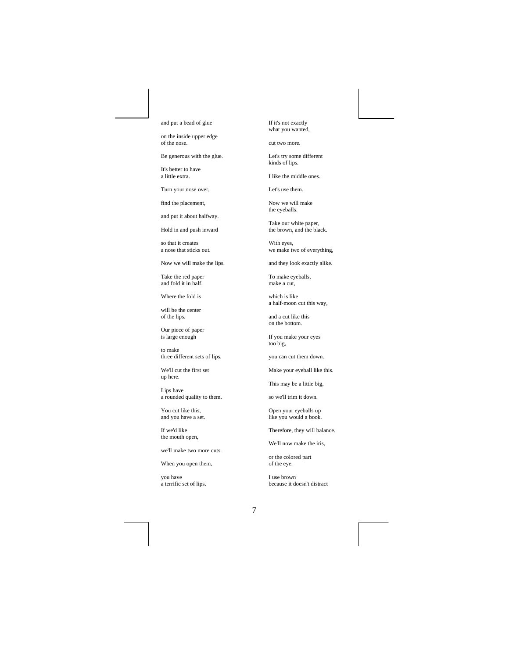and put a bead of glue

on the inside upper edge of the nose.

Be generous with the glue.

It's better to have a little extra.

Turn your nose over,

find the placement,

and put it about halfway.

Hold in and push inward

so that it creates a nose that sticks out.

Now we will make the lips.

Take the red paper and fold it in half.

Where the fold is

will be the center of the lips.

Our piece of paper is large enough

to make three different sets of lips.

We'll cut the first set up here.

Lips have a rounded quality to them.

You cut like this, and you have a set.

If we'd like the mouth open,

we'll make two more cuts.

When you open them,

you have a terrific set of lips. If it's not exactly what you wanted,

cut two more.

Let's try some different kinds of lips.

I like the middle ones.

Let's use them.

Now we will make the eyeballs.

Take our white paper, the brown, and the black.

With eyes, we make two of everything,

and they look exactly alike.

To make eyeballs, make a cut,

which is like a half-moon cut this way,

and a cut like this on the bottom.

If you make your eyes too big,

you can cut them down.

Make your eyeball like this.

This may be a little big,

so we'll trim it down.

Open your eyeballs up like you would a book.

Therefore, they will balance.

We'll now make the iris,

or the colored part of the eye.

I use brown because it doesn't distract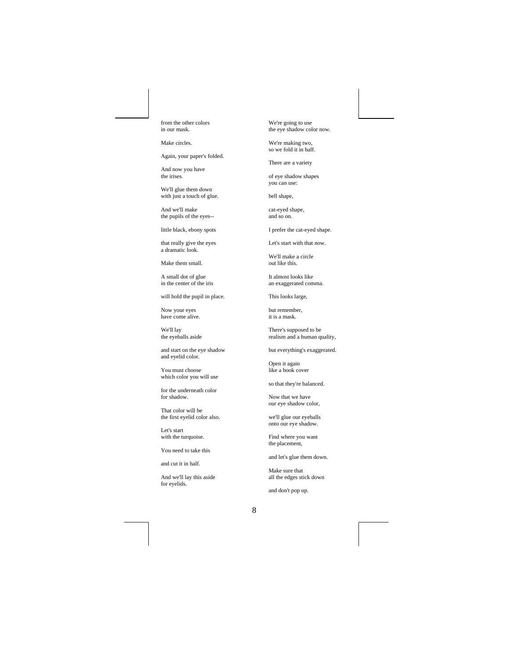from the other colors in our mask.

Make circles.

Again, your paper's folded.

And now you have the irises.

We'll glue them down with just a touch of glue.

And we'll make the pupils of the eyes--

little black, ebony spots

that really give the eyes a dramatic look.

Make them small.

A small dot of glue in the center of the iris

will hold the pupil in place.

Now your eyes have come alive.

We'll lay the eyeballs aside

and start on the eye shadow and eyelid color.

You must choose which color you will use

for the underneath color for shadow.

That color will be the first eyelid color also.

Let's start with the turquoise.

You need to take this

and cut it in half.

And we'll lay this aside for eyelids.

We're going to use the eye shadow color now.

We're making two, so we fold it in half.

There are a variety

of eye shadow shapes you can use:

bell shape,

cat-eyed shape, and so on.

I prefer the cat-eyed shape.

Let's start with that now.

We'll make a circle out like this.

It almost looks like an exaggerated comma.

This looks large,

but remember, it is a mask.

There's supposed to be realism and a human quality,

but everything's exaggerated.

Open it again like a book cover

so that they're balanced.

Now that we have our eye shadow color,

we'll glue our eyeballs onto our eye shadow.

Find where you want the placement,

and let's glue them down.

Make sure that all the edges stick down

and don't pop up.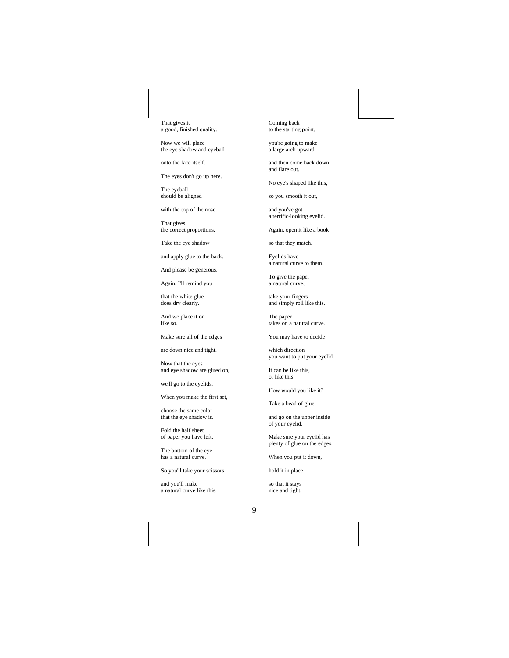That gives it a good, finished quality.

Now we will place the eye shadow and eyeball

onto the face itself.

The eyes don't go up here.

The eyeball should be aligned

with the top of the nose.

That gives the correct proportions.

Take the eye shadow

and apply glue to the back.

And please be generous.

Again, I'll remind you

that the white glue does dry clearly.

And we place it on like so.

Make sure all of the edges

are down nice and tight.

Now that the eyes and eye shadow are glued on,

we'll go to the eyelids.

When you make the first set,

choose the same color that the eye shadow is.

Fold the half sheet of paper you have left.

The bottom of the eye has a natural curve.

So you'll take your scissors

and you'll make a natural curve like this. Coming back to the starting point,

you're going to make a large arch upward

and then come back down and flare out.

No eye's shaped like this,

so you smooth it out,

and you've got a terrific-looking eyelid.

Again, open it like a book

so that they match.

Eyelids have a natural curve to them.

To give the paper a natural curve,

take your fingers and simply roll like this.

The paper takes on a natural curve.

You may have to decide

which direction you want to put your eyelid.

It can be like this, or like this.

How would you like it?

Take a bead of glue

and go on the upper inside of your eyelid.

Make sure your eyelid has plenty of glue on the edges.

When you put it down,

hold it in place

so that it stays nice and tight.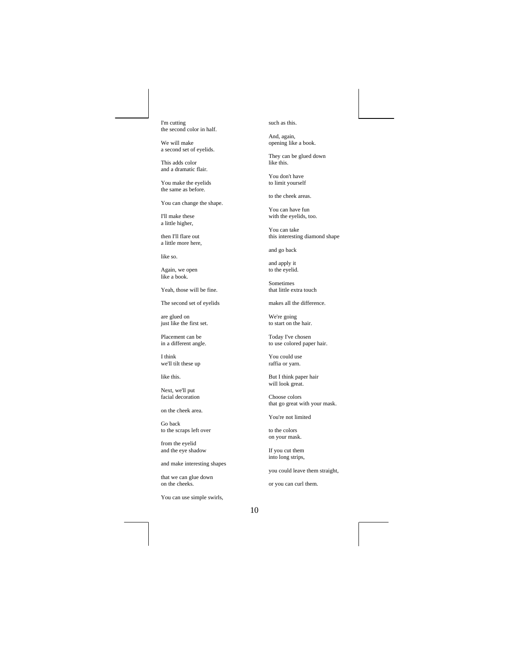I'm cutting the second color in half.

We will make a second set of eyelids.

This adds color and a dramatic flair.

You make the eyelids the same as before.

You can change the shape.

I'll make these a little higher,

then I'll flare out a little more here,

like so.

Again, we open like a book.

Yeah, those will be fine.

The second set of eyelids

are glued on just like the first set.

Placement can be in a different angle.

I think we'll tilt these up

like this.

Next, we'll put facial decoration

on the cheek area.

Go back to the scraps left over

from the eyelid and the eye shadow

and make interesting shapes

that we can glue down on the cheeks.

You can use simple swirls,

such as this.

And, again, opening like a book.

They can be glued down like this.

You don't have to limit yourself

to the cheek areas.

You can have fun with the eyelids, too.

You can take this interesting diamond shape

and go back

and apply it to the eyelid.

Sometimes that little extra touch

makes all the difference.

We're going to start on the hair.

Today I've chosen to use colored paper hair.

You could use raffia or yarn.

But I think paper hair will look great.

Choose colors that go great with your mask.

You're not limited

to the colors on your mask.

If you cut them into long strips,

you could leave them straight,

or you can curl them.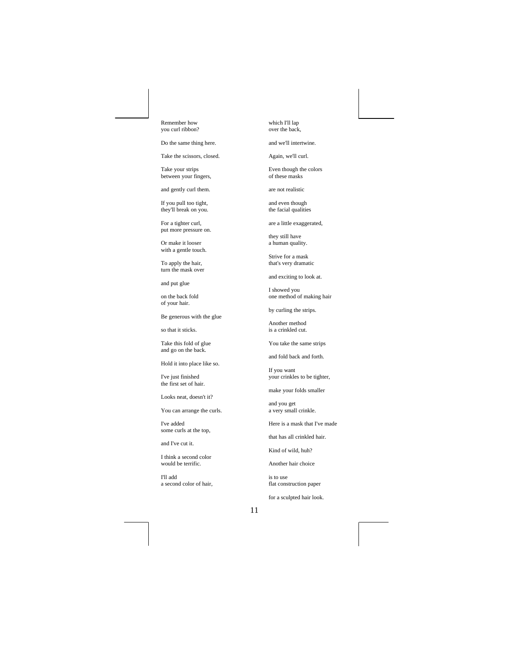Remember how you curl ribbon?

Do the same thing here.

Take the scissors, closed.

Take your strips between your fingers,

and gently curl them.

If you pull too tight, they'll break on you.

For a tighter curl, put more pressure on.

Or make it looser with a gentle touch.

To apply the hair, turn the mask over

and put glue

on the back fold of your hair.

Be generous with the glue

so that it sticks.

Take this fold of glue and go on the back.

Hold it into place like so.

I've just finished the first set of hair.

Looks neat, doesn't it?

You can arrange the curls.

I've added some curls at the top,

and I've cut it.

I think a second color would be terrific.

I'll add a second color of hair, which I'll lap over the back,

and we'll intertwine.

Again, we'll curl.

Even though the colors of these masks

are not realistic

and even though the facial qualities

are a little exaggerated,

they still have a human quality.

Strive for a mask that's very dramatic

and exciting to look at.

I showed you one method of making hair

by curling the strips.

Another method is a crinkled cut.

You take the same strips

and fold back and forth.

If you want your crinkles to be tighter,

make your folds smaller

and you get a very small crinkle.

Here is a mask that I've made

that has all crinkled hair.

Kind of wild, huh?

Another hair choice

is to use flat construction paper

for a sculpted hair look.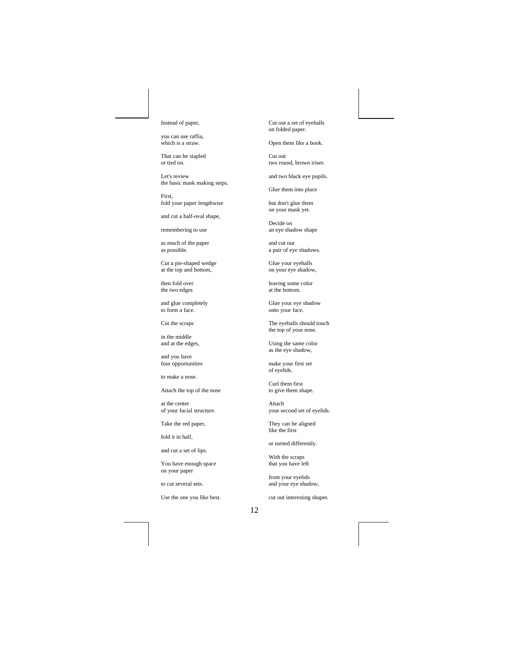Instead of paper,

you can use raffia, which is a straw.

That can be stapled or tied on.

Let's review the basic mask making steps.

First, fold your paper lengthwise

and cut a half-oval shape,

remembering to use

as much of the paper as possible.

Cut a pie-shaped wedge at the top and bottom,

then fold over the two edges

and glue completely to form a face.

Cut the scraps

in the middle and at the edges,

and you have four opportunities

to make a nose.

Attach the top of the nose

at the center of your facial structure.

Take the red paper,

fold it in half,

and cut a set of lips.

You have enough space on your paper

to cut several sets.

Use the one you like best.

Cut out a set of eyeballs on folded paper.

Open them like a book.

Cut out two round, brown irises

and two black eye pupils.

Glue them into place

but don't glue them on your mask yet.

Decide on an eye shadow shape

and cut out a pair of eye shadows.

Glue your eyeballs on your eye shadow,

leaving some color at the bottom.

Glue your eye shadow onto your face.

The eyeballs should touch the top of your nose.

Using the same color as the eye shadow,

make your first set of eyelids.

Curl them first to give them shape.

Attach your second set of eyelids.

They can be aligned like the first

or turned differently.

With the scraps that you have left

from your eyelids and your eye shadow,

cut out interesting shapes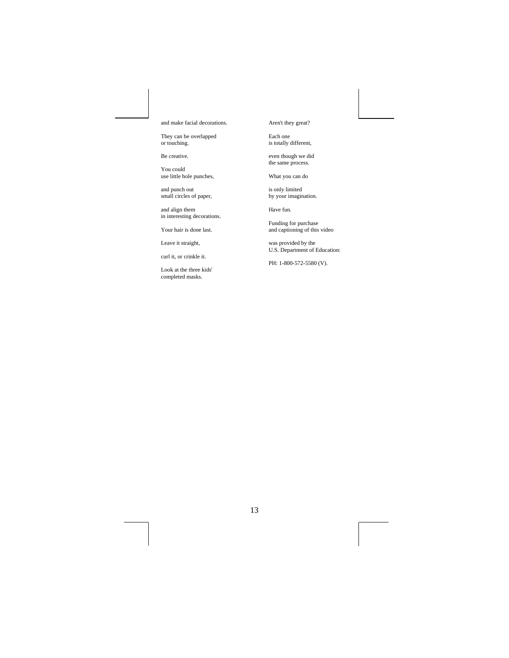and make facial decorations.

They can be overlapped or touching.

Be creative.

You could use little hole punches,

and punch out small circles of paper,

and align them in interesting decorations.

Your hair is done last.

Leave it straight,

curl it, or crinkle it.

Look at the three kids' completed masks.

Aren't they great?

Each one is totally different,

even though we did the same process.

What you can do

is only limited by your imagination.

Have fun.

Funding for purchase and captioning of this video

was provided by the U.S. Department of Education:

PH: 1-800-572-5580 (V).